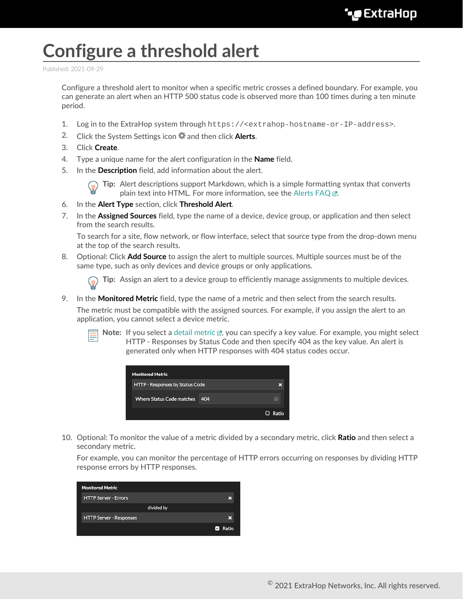## **Configure a threshold alert**

Published: 2021-09-29

Configure a threshold alert to monitor when a specific metric crosses a defined boundary. For example, you can generate an alert when an HTTP 500 status code is observed more than 100 times during a ten minute period.

- 1. Log in to the ExtraHop system through https://<extrahop-hostname-or-IP-address>.
- 2. Click the System Settings icon **a** and then click **Alerts**.
- 3. Click **Create**.
- 4. Type a unique name for the alert configuration in the **Name** field.
- 5. In the **Description** field, add information about the alert.



**Tip:** Alert descriptions support Markdown, which is a simple formatting syntax that converts plain text into HTML. For more information, see the Alerts FAQ E.

- 6. In the **Alert Type** section, click **Threshold Alert**.
- 7. In the **Assigned Sources** field, type the name of a device, device group, or application and then select from the search results.

To search for a site, flow network, or flow interface, select that source type from the drop-down menu at the top of the search results.

8. Optional: Click **Add Source** to assign the alert to multiple sources. Multiple sources must be of the same type, such as only devices and device groups or only applications.

**Tip:** Assign an alert to a device group to efficiently manage assignments to multiple devices.

9. In the **Monitored Metric** field, type the name of a metric and then select from the search results.

The metric must be compatible with the assigned sources. For example, if you assign the alert to an application, you cannot select a device metric.



Note: If you select a [detail metric](https://docs.extrahop.com/8.4/metrics-faq/#what-is-the-difference-between-top-level-and-detail-metrics?) L, you can specify a key value. For example, you might select HTTP - Responses by Status Code and then specify 404 as the key value. An alert is generated only when HTTP responses with 404 status codes occur.



10. Optional: To monitor the value of a metric divided by a secondary metric, click **Ratio** and then select a secondary metric.

For example, you can monitor the percentage of HTTP errors occurring on responses by dividing HTTP response errors by HTTP responses.

| <b>Monitored Metric</b>        |                        |
|--------------------------------|------------------------|
| <b>HTTP Server - Errors</b>    |                        |
| divided by                     |                        |
| <b>HTTP Server - Responses</b> |                        |
|                                | Ratio<br>$\mathcal{L}$ |